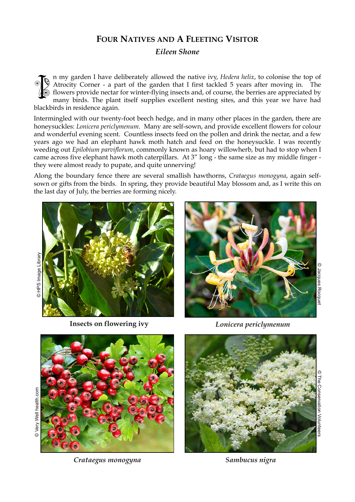## **FOUR NATIVES AND A FLEETING VISITOR**

*Eileen Shone*

n my garden I have deliberately allowed the native ivy, *Hedera helix*, to colonise the top of Atrocity Corner - a part of the garden that I first tackled 5 years after moving in. The flowers provide nectar for winter-flying insects and, of course, the berries are appreciated by many birds. The plant itself supplies excellent nesting sites, and this year we have had blackbirds in residence again. **ISSUE** 

Intermingled with our twenty-foot beech hedge, and in many other places in the garden, there are honeysuckles: *Lonicera periclymenum*. Many are self-sown, and provide excellent flowers for colour and wonderful evening scent. Countless insects feed on the pollen and drink the nectar, and a few years ago we had an elephant hawk moth hatch and feed on the honeysuckle. I was recently weeding out *Epilobium parviflorum*, commonly known as hoary willowherb, but had to stop when I came across five elephant hawk moth caterpillars. At 3" long - the same size as my middle finger they were almost ready to pupate, and quite unnerving!

Along the boundary fence there are several smallish hawthorns, *Crataegus monogyna*, again selfsown or gifts from the birds. In spring, they provide beautiful May blossom and, as I write this on the last day of July, the berries are forming nicely.





**Insects on flowering ivy**



<sup>©</sup> Jacques Rocquet Jacques Rocquet



© Very Well health.com © Very Well health.com

*Crataegus monogyna*

*Lonicera periclymenum*



*Sambucus nigra*